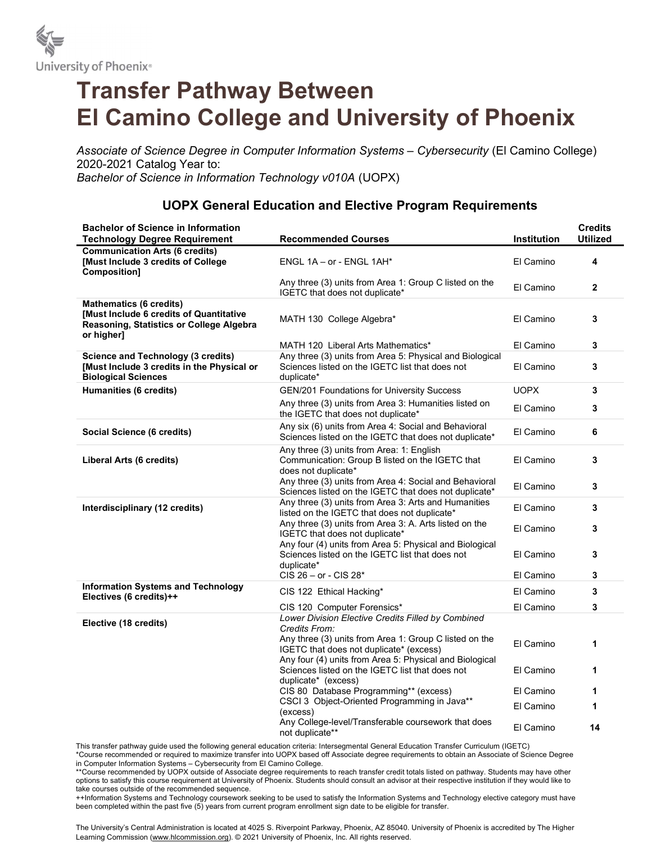

## Transfer Pathway Between El Camino College and University of Phoenix

Associate of Science Degree in Computer Information Systems – Cybersecurity (El Camino College) 2020-2021 Catalog Year to: Bachelor of Science in Information Technology v010A (UOPX)

## UOPX General Education and Elective Program Requirements

| <b>Bachelor of Science in Information</b><br><b>Technology Degree Requirement</b>                                                   | <b>Recommended Courses</b>                                                                                                                                   | <b>Institution</b> | <b>Credits</b><br><b>Utilized</b> |
|-------------------------------------------------------------------------------------------------------------------------------------|--------------------------------------------------------------------------------------------------------------------------------------------------------------|--------------------|-----------------------------------|
| <b>Communication Arts (6 credits)</b><br>[Must Include 3 credits of College<br><b>Composition]</b>                                  | ENGL 1A - or - ENGL 1AH*                                                                                                                                     | El Camino          | 4                                 |
|                                                                                                                                     | Any three (3) units from Area 1: Group C listed on the<br>IGETC that does not duplicate*                                                                     | El Camino          | $\mathbf{2}$                      |
| <b>Mathematics (6 credits)</b><br>[Must Include 6 credits of Quantitative<br>Reasoning, Statistics or College Algebra<br>or higher] | MATH 130 College Algebra*                                                                                                                                    | El Camino          | 3                                 |
|                                                                                                                                     | MATH 120 Liberal Arts Mathematics*                                                                                                                           | El Camino          | 3                                 |
| <b>Science and Technology (3 credits)</b><br>[Must Include 3 credits in the Physical or<br><b>Biological Sciences</b>               | Any three (3) units from Area 5: Physical and Biological<br>Sciences listed on the IGETC list that does not<br>duplicate*                                    | El Camino          | 3                                 |
| Humanities (6 credits)                                                                                                              | GEN/201 Foundations for University Success                                                                                                                   | <b>UOPX</b>        | 3                                 |
|                                                                                                                                     | Any three (3) units from Area 3: Humanities listed on<br>the IGETC that does not duplicate*                                                                  | El Camino          | 3                                 |
| Social Science (6 credits)                                                                                                          | Any six (6) units from Area 4: Social and Behavioral<br>Sciences listed on the IGETC that does not duplicate*                                                | El Camino          | 6                                 |
| Liberal Arts (6 credits)                                                                                                            | Any three (3) units from Area: 1: English<br>Communication: Group B listed on the IGETC that<br>does not duplicate*                                          | El Camino          | 3                                 |
|                                                                                                                                     | Any three (3) units from Area 4: Social and Behavioral<br>Sciences listed on the IGETC that does not duplicate*                                              | El Camino          | 3                                 |
| Interdisciplinary (12 credits)                                                                                                      | Any three (3) units from Area 3: Arts and Humanities<br>listed on the IGETC that does not duplicate*                                                         | El Camino          | 3                                 |
|                                                                                                                                     | Any three (3) units from Area 3: A. Arts listed on the<br>IGETC that does not duplicate*                                                                     | El Camino          | 3                                 |
|                                                                                                                                     | Any four (4) units from Area 5: Physical and Biological<br>Sciences listed on the IGETC list that does not<br>duplicate*                                     | El Camino          | 3                                 |
|                                                                                                                                     | $CI\dot{S}$ 26 – or - $CI\dot{S}$ 28 <sup>*</sup>                                                                                                            | El Camino          | 3                                 |
| <b>Information Systems and Technology</b><br>Electives (6 credits)++                                                                | CIS 122 Ethical Hacking*                                                                                                                                     | El Camino          | 3                                 |
|                                                                                                                                     | CIS 120 Computer Forensics*                                                                                                                                  | El Camino          | 3                                 |
| Elective (18 credits)                                                                                                               | Lower Division Elective Credits Filled by Combined<br>Credits From:                                                                                          |                    |                                   |
|                                                                                                                                     | Any three (3) units from Area 1: Group C listed on the<br>IGETC that does not duplicate* (excess)<br>Any four (4) units from Area 5: Physical and Biological | El Camino          | 1                                 |
|                                                                                                                                     | Sciences listed on the IGETC list that does not<br>duplicate* (excess)                                                                                       | El Camino          | 1                                 |
|                                                                                                                                     | CIS 80 Database Programming** (excess)                                                                                                                       | El Camino          | 1                                 |
|                                                                                                                                     | CSCI 3 Object-Oriented Programming in Java**<br>(excess)                                                                                                     | El Camino          | 1                                 |
|                                                                                                                                     | Any College-level/Transferable coursework that does<br>not duplicate**                                                                                       | El Camino          | 14                                |

This transfer pathway guide used the following general education criteria: Intersegmental General Education Transfer Curriculum (IGETC)

\*Course recommended or required to maximize transfer into UOPX based off Associate degree requirements to obtain an Associate of Science Degree in Computer Information Systems – Cybersecurity from El Camino College.

\*\*Course recommended by UOPX outside of Associate degree requirements to reach transfer credit totals listed on pathway. Students may have other options to satisfy this course requirement at University of Phoenix. Students should consult an advisor at their respective institution if they would like to take courses outside of the recommended sequence.

++Information Systems and Technology coursework seeking to be used to satisfy the Information Systems and Technology elective category must have been completed within the past five (5) years from current program enrollment sign date to be eligible for transfer.

The University's Central Administration is located at 4025 S. Riverpoint Parkway, Phoenix, AZ 85040. University of Phoenix is accredited by The Higher Learning Commission (www.hlcommission.org). © 2021 University of Phoenix, Inc. All rights reserved.